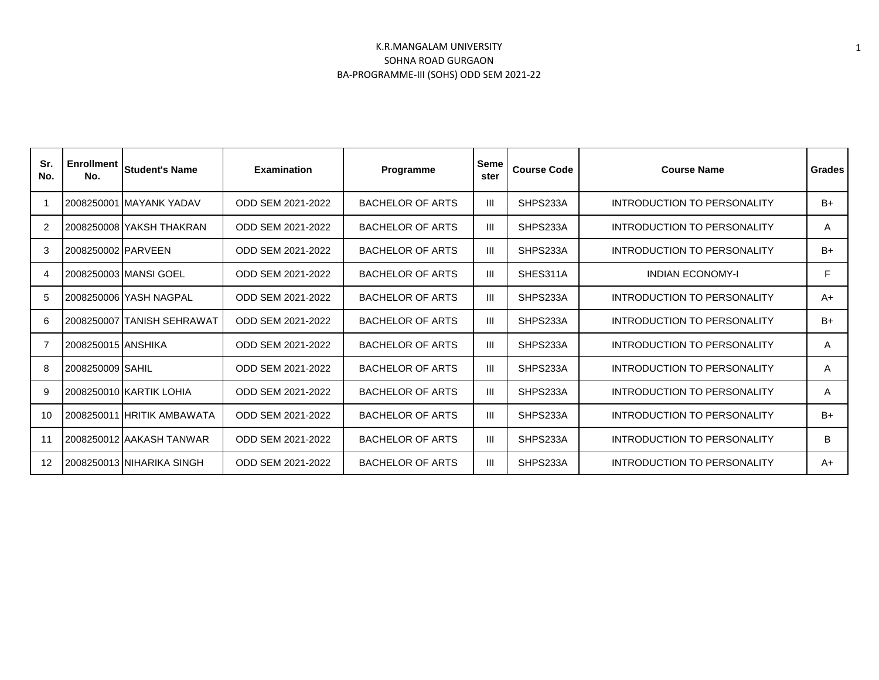| Sr.<br>No.     | <b>Enrollment</b><br>No. | <b>Student's Name</b>      | <b>Examination</b> | Programme               | <b>Seme</b><br>ster | <b>Course Code</b> | <b>Course Name</b>                 | <b>Grades</b> |
|----------------|--------------------------|----------------------------|--------------------|-------------------------|---------------------|--------------------|------------------------------------|---------------|
|                |                          | 2008250001 MAYANK YADAV    | ODD SEM 2021-2022  | <b>BACHELOR OF ARTS</b> | Ш                   | SHPS233A           | <b>INTRODUCTION TO PERSONALITY</b> | $B+$          |
| $\overline{2}$ |                          | 2008250008 YAKSH THAKRAN   | ODD SEM 2021-2022  | <b>BACHELOR OF ARTS</b> | III                 | SHPS233A           | <b>INTRODUCTION TO PERSONALITY</b> | A             |
| 3              | 2008250002 PARVEEN       |                            | ODD SEM 2021-2022  | <b>BACHELOR OF ARTS</b> | Ш                   | SHPS233A           | <b>INTRODUCTION TO PERSONALITY</b> | $B+$          |
| 4              |                          | 2008250003 MANSI GOEL      | ODD SEM 2021-2022  | <b>BACHELOR OF ARTS</b> | Ш                   | SHES311A           | <b>INDIAN ECONOMY-I</b>            | F             |
| 5              |                          | 2008250006 YASH NAGPAL     | ODD SEM 2021-2022  | <b>BACHELOR OF ARTS</b> | Ш                   | SHPS233A           | INTRODUCTION TO PERSONALITY        | $A+$          |
| 6              |                          | 2008250007 TANISH SEHRAWAT | ODD SEM 2021-2022  | <b>BACHELOR OF ARTS</b> | Ш                   | SHPS233A           | INTRODUCTION TO PERSONALITY        | $B+$          |
| 7              | 2008250015 ANSHIKA       |                            | ODD SEM 2021-2022  | <b>BACHELOR OF ARTS</b> | Ш                   | SHPS233A           | <b>INTRODUCTION TO PERSONALITY</b> | A             |
| 8              | 2008250009 SAHIL         |                            | ODD SEM 2021-2022  | <b>BACHELOR OF ARTS</b> | Ш                   | SHPS233A           | INTRODUCTION TO PERSONALITY        | A             |
| 9              |                          | 2008250010 KARTIK LOHIA    | ODD SEM 2021-2022  | <b>BACHELOR OF ARTS</b> | Ш                   | SHPS233A           | INTRODUCTION TO PERSONALITY        | A             |
| 10             |                          | 2008250011 HRITIK AMBAWATA | ODD SEM 2021-2022  | <b>BACHELOR OF ARTS</b> | Ш                   | SHPS233A           | INTRODUCTION TO PERSONALITY        | $B+$          |
| 11             |                          | 2008250012 AAKASH TANWAR   | ODD SEM 2021-2022  | <b>BACHELOR OF ARTS</b> | Ш                   | SHPS233A           | INTRODUCTION TO PERSONALITY        | B             |
| 12             |                          | 2008250013 NIHARIKA SINGH  | ODD SEM 2021-2022  | <b>BACHELOR OF ARTS</b> | Ш                   | SHPS233A           | INTRODUCTION TO PERSONALITY        | $A+$          |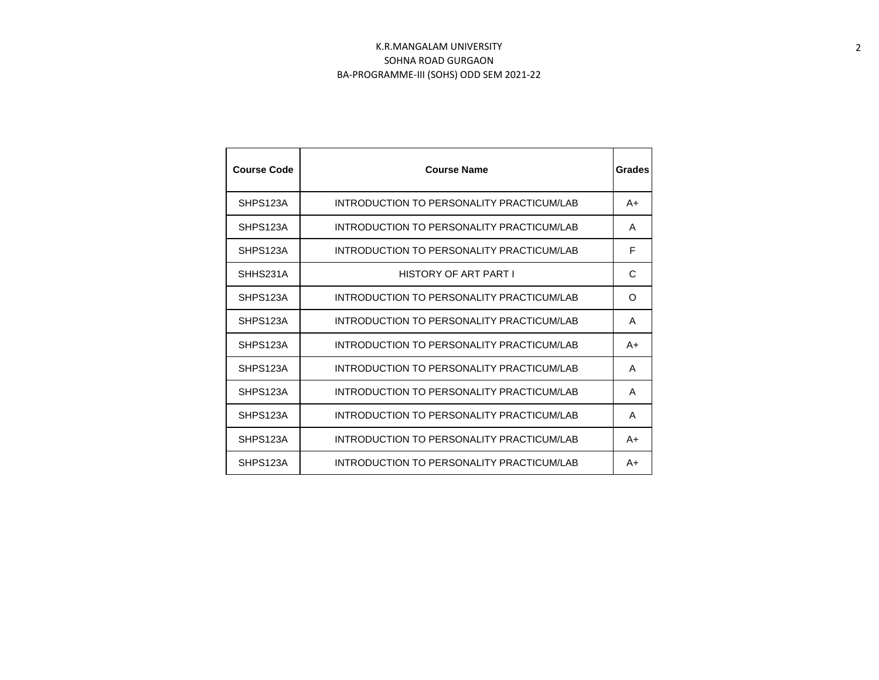| <b>Course Code</b> | <b>Course Name</b>                        | Grades   |
|--------------------|-------------------------------------------|----------|
| SHPS123A           | INTRODUCTION TO PERSONALITY PRACTICUM/LAB | $A+$     |
| SHPS123A           | INTRODUCTION TO PERSONALITY PRACTICUM/LAB | A        |
| SHPS123A           | INTRODUCTION TO PERSONALITY PRACTICUM/LAB | F        |
| SHHS231A           | HISTORY OF ART PART I                     | C        |
| SHPS123A           | INTRODUCTION TO PERSONALITY PRACTICUM/LAB | $\Omega$ |
| SHPS123A           | INTRODUCTION TO PERSONALITY PRACTICUM/LAB | A        |
| SHPS123A           | INTRODUCTION TO PERSONALITY PRACTICUM/LAB | A+       |
| SHPS123A           | INTRODUCTION TO PERSONALITY PRACTICUM/LAB | A        |
| SHPS123A           | INTRODUCTION TO PERSONALITY PRACTICUM/LAB | A        |
| SHPS123A           | INTRODUCTION TO PERSONALITY PRACTICUM/LAB | A        |
| SHPS123A           | INTRODUCTION TO PERSONALITY PRACTICUM/LAB | A+       |
| SHPS123A           | INTRODUCTION TO PERSONALITY PRACTICUM/LAB | A+       |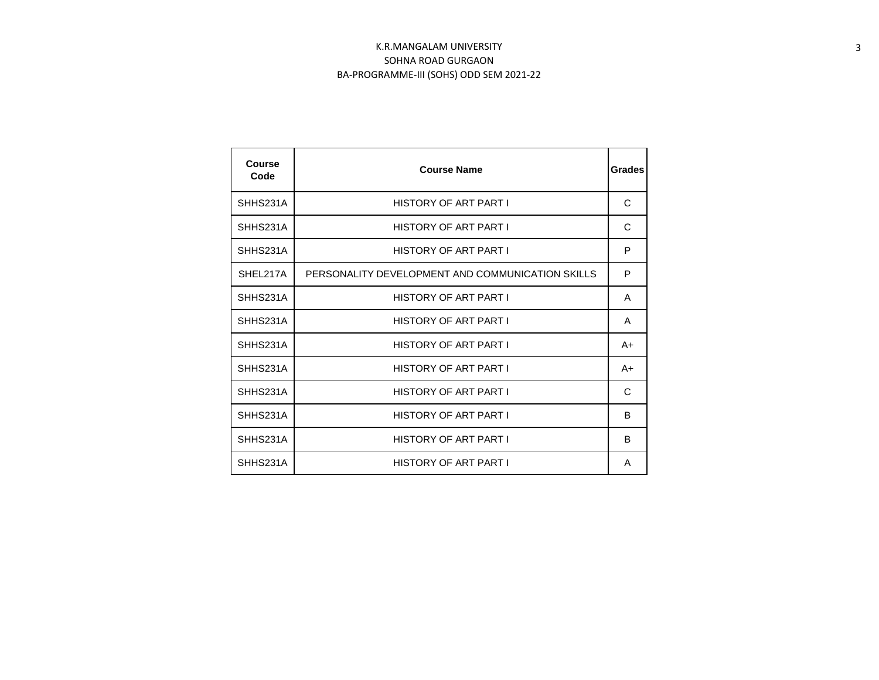| Course<br>Code | <b>Course Name</b>                               | Grades |
|----------------|--------------------------------------------------|--------|
| SHHS231A       | <b>HISTORY OF ART PART I</b>                     | C      |
| SHHS231A       | <b>HISTORY OF ART PART I</b>                     | C      |
| SHHS231A       | HISTORY OF ART PART I                            | P      |
| SHEL217A       | PERSONALITY DEVELOPMENT AND COMMUNICATION SKILLS | P      |
| SHHS231A       | <b>HISTORY OF ART PART I</b>                     | A      |
| SHHS231A       | HISTORY OF ART PART I                            | A      |
| SHHS231A       | <b>HISTORY OF ART PART I</b>                     | A+     |
| SHHS231A       | HISTORY OF ART PART I                            | A+     |
| SHHS231A       | HISTORY OF ART PART I                            | C      |
| SHHS231A       | <b>HISTORY OF ART PART I</b>                     | B      |
| SHHS231A       | <b>HISTORY OF ART PART I</b>                     | B      |
| SHHS231A       | HISTORY OF ART PART I                            | A      |